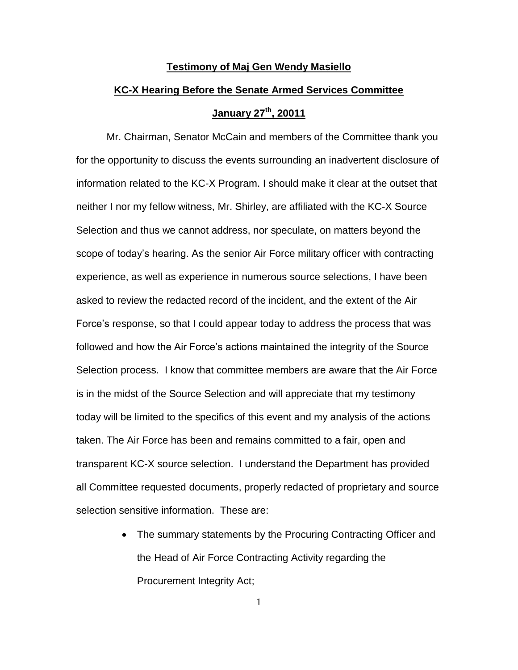## **Testimony of Maj Gen Wendy Masiello**

## **KC-X Hearing Before the Senate Armed Services Committee**

## **January 27th, 20011**

Mr. Chairman, Senator McCain and members of the Committee thank you for the opportunity to discuss the events surrounding an inadvertent disclosure of information related to the KC-X Program. I should make it clear at the outset that neither I nor my fellow witness, Mr. Shirley, are affiliated with the KC-X Source Selection and thus we cannot address, nor speculate, on matters beyond the scope of today's hearing. As the senior Air Force military officer with contracting experience, as well as experience in numerous source selections, I have been asked to review the redacted record of the incident, and the extent of the Air Force's response, so that I could appear today to address the process that was followed and how the Air Force's actions maintained the integrity of the Source Selection process. I know that committee members are aware that the Air Force is in the midst of the Source Selection and will appreciate that my testimony today will be limited to the specifics of this event and my analysis of the actions taken. The Air Force has been and remains committed to a fair, open and transparent KC-X source selection. I understand the Department has provided all Committee requested documents, properly redacted of proprietary and source selection sensitive information. These are:

> • The summary statements by the Procuring Contracting Officer and the Head of Air Force Contracting Activity regarding the Procurement Integrity Act;

> > 1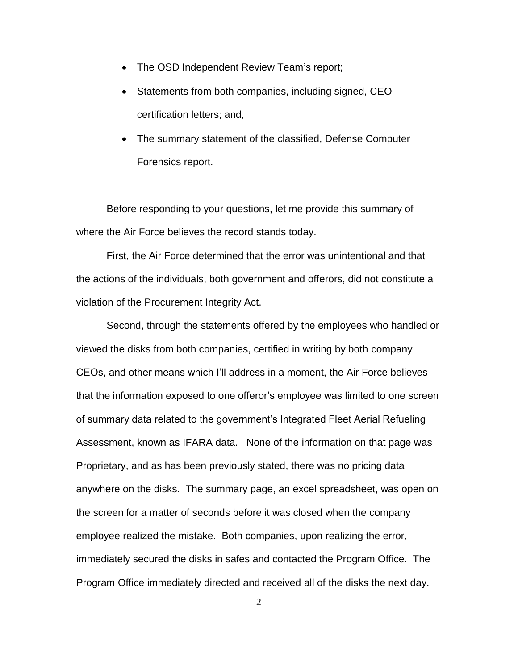- The OSD Independent Review Team's report;
- Statements from both companies, including signed, CEO certification letters; and,
- The summary statement of the classified, Defense Computer Forensics report.

Before responding to your questions, let me provide this summary of where the Air Force believes the record stands today.

First, the Air Force determined that the error was unintentional and that the actions of the individuals, both government and offerors, did not constitute a violation of the Procurement Integrity Act.

Second, through the statements offered by the employees who handled or viewed the disks from both companies, certified in writing by both company CEOs, and other means which I'll address in a moment, the Air Force believes that the information exposed to one offeror's employee was limited to one screen of summary data related to the government's Integrated Fleet Aerial Refueling Assessment, known as IFARA data. None of the information on that page was Proprietary, and as has been previously stated, there was no pricing data anywhere on the disks. The summary page, an excel spreadsheet, was open on the screen for a matter of seconds before it was closed when the company employee realized the mistake. Both companies, upon realizing the error, immediately secured the disks in safes and contacted the Program Office. The Program Office immediately directed and received all of the disks the next day.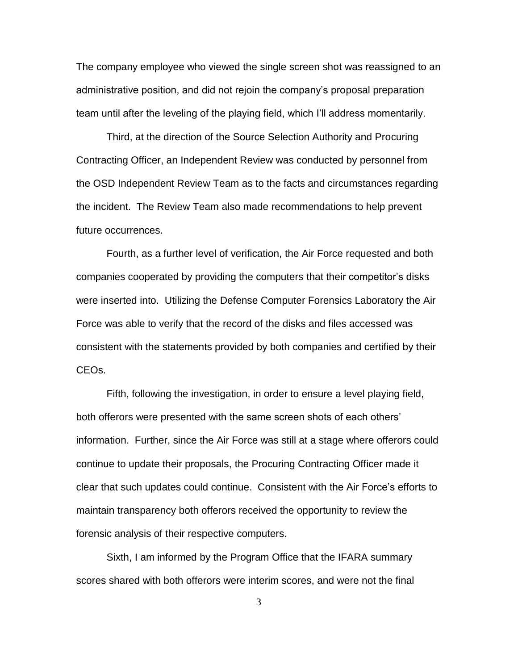The company employee who viewed the single screen shot was reassigned to an administrative position, and did not rejoin the company's proposal preparation team until after the leveling of the playing field, which I'll address momentarily.

Third, at the direction of the Source Selection Authority and Procuring Contracting Officer, an Independent Review was conducted by personnel from the OSD Independent Review Team as to the facts and circumstances regarding the incident. The Review Team also made recommendations to help prevent future occurrences.

Fourth, as a further level of verification, the Air Force requested and both companies cooperated by providing the computers that their competitor's disks were inserted into. Utilizing the Defense Computer Forensics Laboratory the Air Force was able to verify that the record of the disks and files accessed was consistent with the statements provided by both companies and certified by their CEOs.

Fifth, following the investigation, in order to ensure a level playing field, both offerors were presented with the same screen shots of each others' information. Further, since the Air Force was still at a stage where offerors could continue to update their proposals, the Procuring Contracting Officer made it clear that such updates could continue. Consistent with the Air Force's efforts to maintain transparency both offerors received the opportunity to review the forensic analysis of their respective computers.

Sixth, I am informed by the Program Office that the IFARA summary scores shared with both offerors were interim scores, and were not the final

3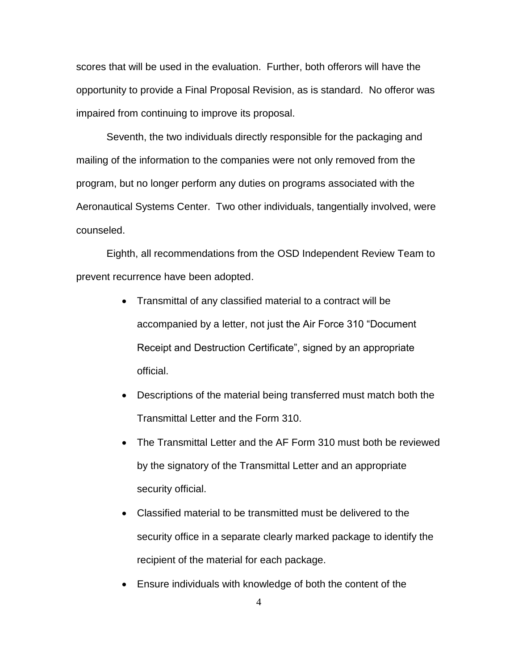scores that will be used in the evaluation. Further, both offerors will have the opportunity to provide a Final Proposal Revision, as is standard. No offeror was impaired from continuing to improve its proposal.

Seventh, the two individuals directly responsible for the packaging and mailing of the information to the companies were not only removed from the program, but no longer perform any duties on programs associated with the Aeronautical Systems Center. Two other individuals, tangentially involved, were counseled.

Eighth, all recommendations from the OSD Independent Review Team to prevent recurrence have been adopted.

- Transmittal of any classified material to a contract will be accompanied by a letter, not just the Air Force 310 "Document Receipt and Destruction Certificate", signed by an appropriate official.
- Descriptions of the material being transferred must match both the Transmittal Letter and the Form 310.
- The Transmittal Letter and the AF Form 310 must both be reviewed by the signatory of the Transmittal Letter and an appropriate security official.
- Classified material to be transmitted must be delivered to the security office in a separate clearly marked package to identify the recipient of the material for each package.
- Ensure individuals with knowledge of both the content of the

4